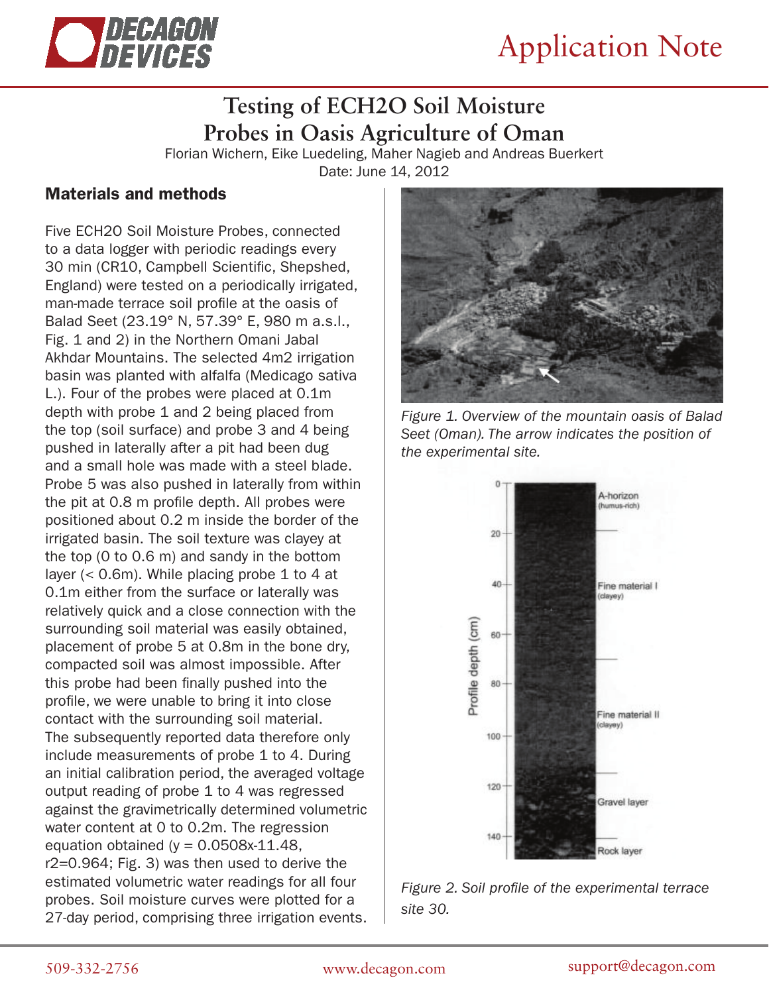

## **Testing of ECH2O Soil Moisture Probes in Oasis Agriculture of Oman**

Florian Wichern, Eike Luedeling, Maher Nagieb and Andreas Buerkert Date: June 14, 2012

#### Materials and methods

Five ECH2O Soil Moisture Probes, connected to a data logger with periodic readings every 30 min (CR10, Campbell Scientific, Shepshed, England) were tested on a periodically irrigated, man-made terrace soil profile at the oasis of Balad Seet (23.19° N, 57.39° E, 980 m a.s.l., Fig. 1 and 2) in the Northern Omani Jabal Akhdar Mountains. The selected 4m2 irrigation basin was planted with alfalfa (Medicago sativa L.). Four of the probes were placed at 0.1m depth with probe 1 and 2 being placed from the top (soil surface) and probe 3 and 4 being pushed in laterally after a pit had been dug and a small hole was made with a steel blade. Probe 5 was also pushed in laterally from within the pit at 0.8 m profile depth. All probes were positioned about 0.2 m inside the border of the irrigated basin. The soil texture was clayey at the top (0 to 0.6 m) and sandy in the bottom layer (< 0.6m). While placing probe 1 to 4 at 0.1m either from the surface or laterally was relatively quick and a close connection with the surrounding soil material was easily obtained, placement of probe 5 at 0.8m in the bone dry, compacted soil was almost impossible. After this probe had been finally pushed into the profile, we were unable to bring it into close contact with the surrounding soil material. The subsequently reported data therefore only include measurements of probe 1 to 4. During an initial calibration period, the averaged voltage output reading of probe 1 to 4 was regressed against the gravimetrically determined volumetric water content at 0 to 0.2m. The regression equation obtained ( $y = 0.0508x-11.48$ , r2=0.964; Fig. 3) was then used to derive the estimated volumetric water readings for all four probes. Soil moisture curves were plotted for a 27-day period, comprising three irrigation events.



*Figure 1. Overview of the mountain oasis of Balad Seet (Oman). The arrow indicates the position of the experimental site.*



*Figure 2. Soil profile of the experimental terrace site 30.*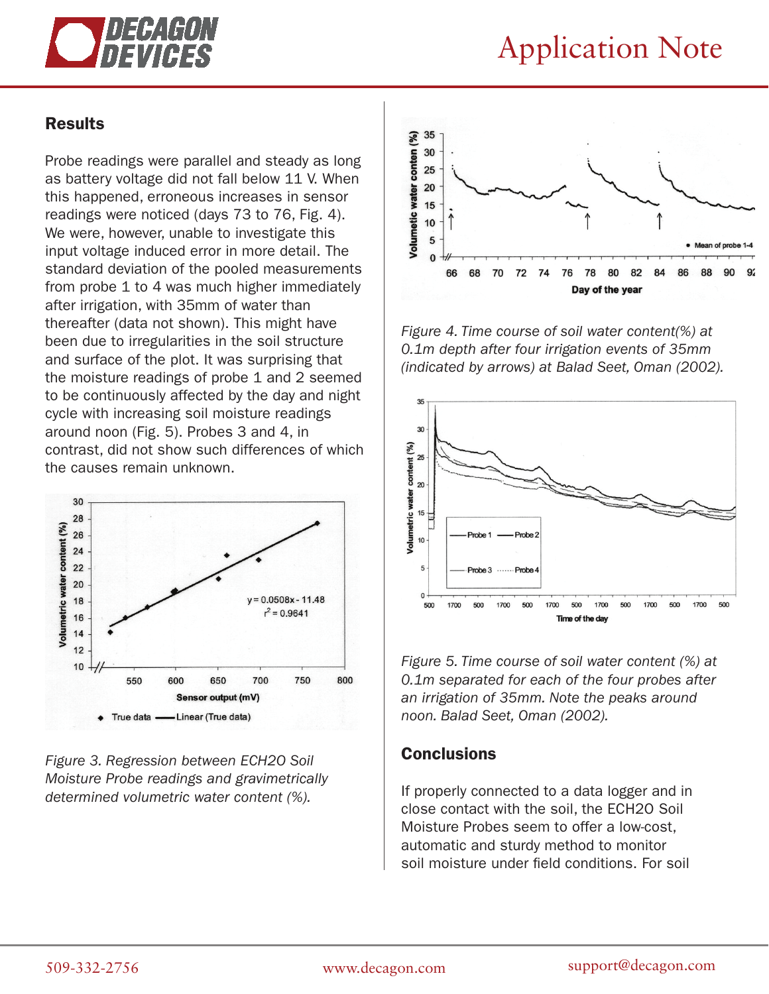

# Application Note

### Results

Probe readings were parallel and steady as long as battery voltage did not fall below 11 V. When this happened, erroneous increases in sensor readings were noticed (days 73 to 76, Fig. 4). We were, however, unable to investigate this input voltage induced error in more detail. The standard deviation of the pooled measurements from probe 1 to 4 was much higher immediately after irrigation, with 35mm of water than thereafter (data not shown). This might have been due to irregularities in the soil structure and surface of the plot. It was surprising that the moisture readings of probe 1 and 2 seemed to be continuously affected by the day and night cycle with increasing soil moisture readings around noon (Fig. 5). Probes 3 and 4, in contrast, did not show such differences of which the causes remain unknown.



*Figure 3. Regression between ECH2O Soil Moisture Probe readings and gravimetrically determined volumetric water content (%).*



*Figure 4. Time course of soil water content(%) at 0.1m depth after four irrigation events of 35mm (indicated by arrows) at Balad Seet, Oman (2002).*



*Figure 5. Time course of soil water content (%) at 0.1m separated for each of the four probes after an irrigation of 35mm. Note the peaks around noon. Balad Seet, Oman (2002).*

### **Conclusions**

If properly connected to a data logger and in close contact with the soil, the ECH2O Soil Moisture Probes seem to offer a low-cost, automatic and sturdy method to monitor soil moisture under field conditions. For soil